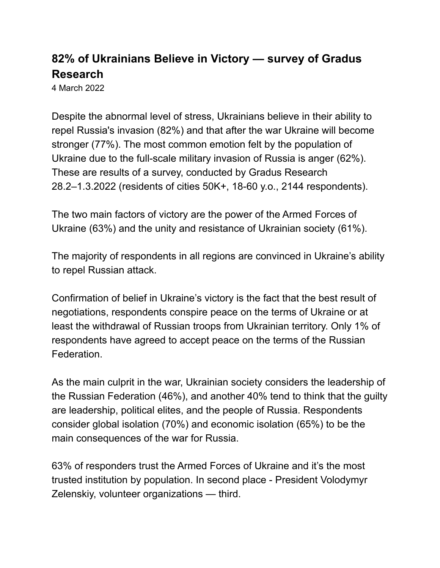## **82% of Ukrainians Believe in Victory — survey of Gradus Research**

4 March 2022

Despite the abnormal level of stress, Ukrainians believe in their ability to repel Russia's invasion (82%) and that after the war Ukraine will become stronger (77%). The most common emotion felt by the population of Ukraine due to the full-scale military invasion of Russia is anger (62%). These are results of a survey, conducted by Gradus Research 28.2–1.3.2022 (residents of cities 50K+, 18-60 y.o., 2144 respondents).

The two main factors of victory are the power of the Armed Forces of Ukraine (63%) and the unity and resistance of Ukrainian society (61%).

The majority of respondents in all regions are convinced in Ukraine's ability to repel Russian attack.

Confirmation of belief in Ukraine's victory is the fact that the best result of negotiations, respondents conspire peace on the terms of Ukraine or at least the withdrawal of Russian troops from Ukrainian territory. Only 1% of respondents have agreed to accept peace on the terms of the Russian Federation.

As the main culprit in the war, Ukrainian society considers the leadership of the Russian Federation (46%), and another 40% tend to think that the guilty are leadership, political elites, and the people of Russia. Respondents consider global isolation (70%) and economic isolation (65%) to be the main consequences of the war for Russia.

63% of responders trust the Armed Forces of Ukraine and it's the most trusted institution by population. In second place - President Volodymyr Zelenskiy, volunteer organizations — third.